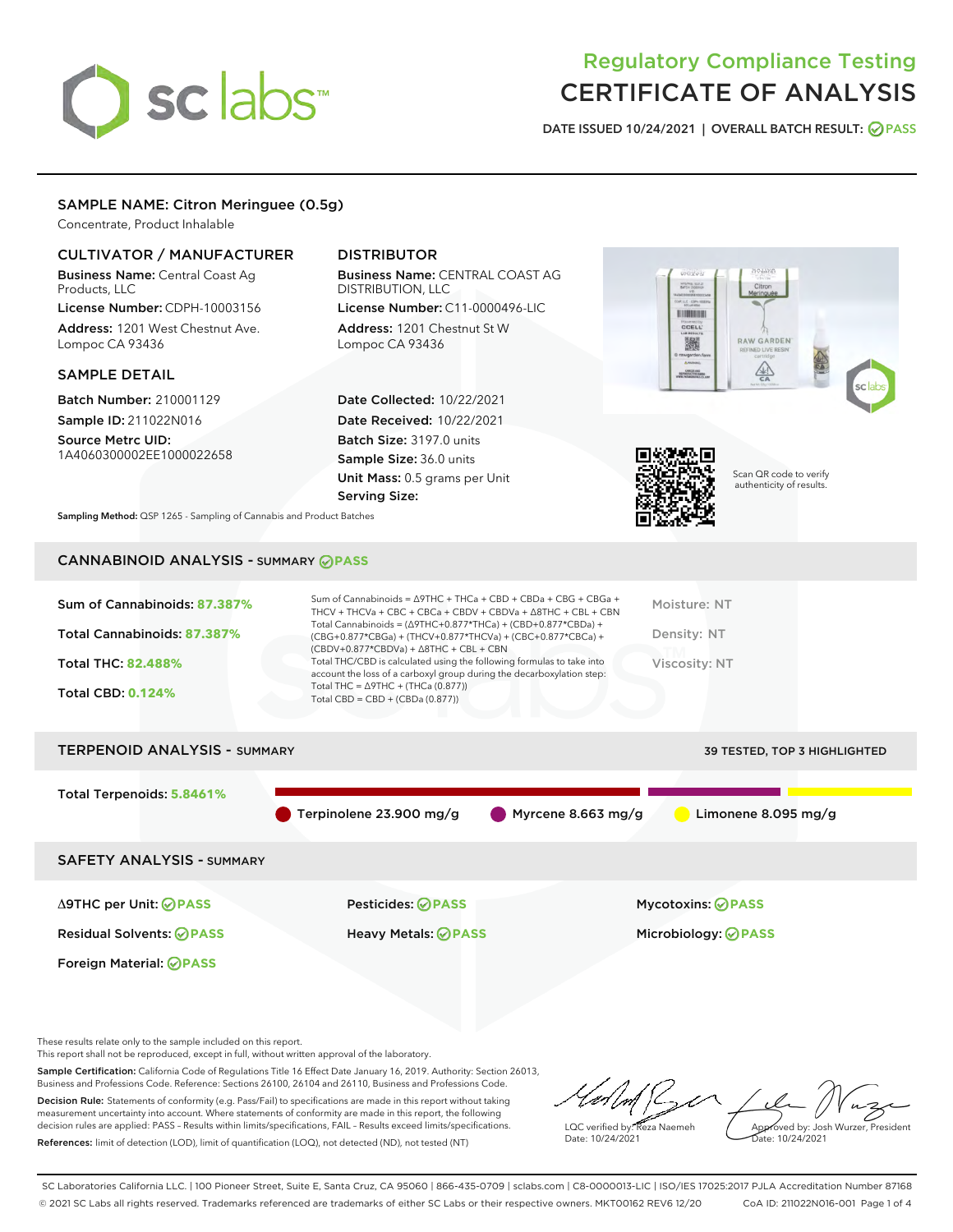# sclabs<sup>\*</sup>

# Regulatory Compliance Testing CERTIFICATE OF ANALYSIS

DATE ISSUED 10/24/2021 | OVERALL BATCH RESULT: @ PASS

## SAMPLE NAME: Citron Meringuee (0.5g)

Concentrate, Product Inhalable

## CULTIVATOR / MANUFACTURER

Business Name: Central Coast Ag Products, LLC

License Number: CDPH-10003156 Address: 1201 West Chestnut Ave. Lompoc CA 93436

#### SAMPLE DETAIL

Batch Number: 210001129 Sample ID: 211022N016

Source Metrc UID: 1A4060300002EE1000022658

# DISTRIBUTOR

Business Name: CENTRAL COAST AG DISTRIBUTION, LLC

License Number: C11-0000496-LIC Address: 1201 Chestnut St W Lompoc CA 93436

Date Collected: 10/22/2021 Date Received: 10/22/2021 Batch Size: 3197.0 units Sample Size: 36.0 units Unit Mass: 0.5 grams per Unit Serving Size:





Scan QR code to verify authenticity of results.

Sampling Method: QSP 1265 - Sampling of Cannabis and Product Batches

# CANNABINOID ANALYSIS - SUMMARY **PASS**

| Sum of Cannabinoids: 87.387% | Sum of Cannabinoids = $\triangle$ 9THC + THCa + CBD + CBDa + CBG + CBGa +<br>THCV + THCVa + CBC + CBCa + CBDV + CBDVa + $\Delta$ 8THC + CBL + CBN                                    | Moisture: NT  |
|------------------------------|--------------------------------------------------------------------------------------------------------------------------------------------------------------------------------------|---------------|
| Total Cannabinoids: 87.387%  | Total Cannabinoids = $(\Delta$ 9THC+0.877*THCa) + (CBD+0.877*CBDa) +<br>(CBG+0.877*CBGa) + (THCV+0.877*THCVa) + (CBC+0.877*CBCa) +<br>$(CBDV+0.877*CBDVa) + \Delta 8THC + CBL + CBN$ | Density: NT   |
| <b>Total THC: 82.488%</b>    | Total THC/CBD is calculated using the following formulas to take into<br>account the loss of a carboxyl group during the decarboxylation step:                                       | Viscosity: NT |
| <b>Total CBD: 0.124%</b>     | Total THC = $\triangle$ 9THC + (THCa (0.877))<br>Total CBD = $CBD + (CBDa (0.877))$                                                                                                  |               |
|                              |                                                                                                                                                                                      |               |

# TERPENOID ANALYSIS - SUMMARY 39 TESTED, TOP 3 HIGHLIGHTED Total Terpenoids: **5.8461%** Terpinolene 23.900 mg/g Myrcene 8.663 mg/g Limonene 8.095 mg/g SAFETY ANALYSIS - SUMMARY Δ9THC per Unit: **PASS** Pesticides: **PASS** Mycotoxins: **PASS**

Foreign Material: **PASS**

Residual Solvents: **PASS** Heavy Metals: **PASS** Microbiology: **PASS**

These results relate only to the sample included on this report.

This report shall not be reproduced, except in full, without written approval of the laboratory.

Sample Certification: California Code of Regulations Title 16 Effect Date January 16, 2019. Authority: Section 26013, Business and Professions Code. Reference: Sections 26100, 26104 and 26110, Business and Professions Code. Decision Rule: Statements of conformity (e.g. Pass/Fail) to specifications are made in this report without taking measurement uncertainty into account. Where statements of conformity are made in this report, the following

decision rules are applied: PASS – Results within limits/specifications, FAIL – Results exceed limits/specifications. References: limit of detection (LOD), limit of quantification (LOQ), not detected (ND), not tested (NT)

LQC verified by: Reza Naemeh Date: 10/24/2021 Approved by: Josh Wurzer, President Date: 10/24/2021

SC Laboratories California LLC. | 100 Pioneer Street, Suite E, Santa Cruz, CA 95060 | 866-435-0709 | sclabs.com | C8-0000013-LIC | ISO/IES 17025:2017 PJLA Accreditation Number 87168 © 2021 SC Labs all rights reserved. Trademarks referenced are trademarks of either SC Labs or their respective owners. MKT00162 REV6 12/20 CoA ID: 211022N016-001 Page 1 of 4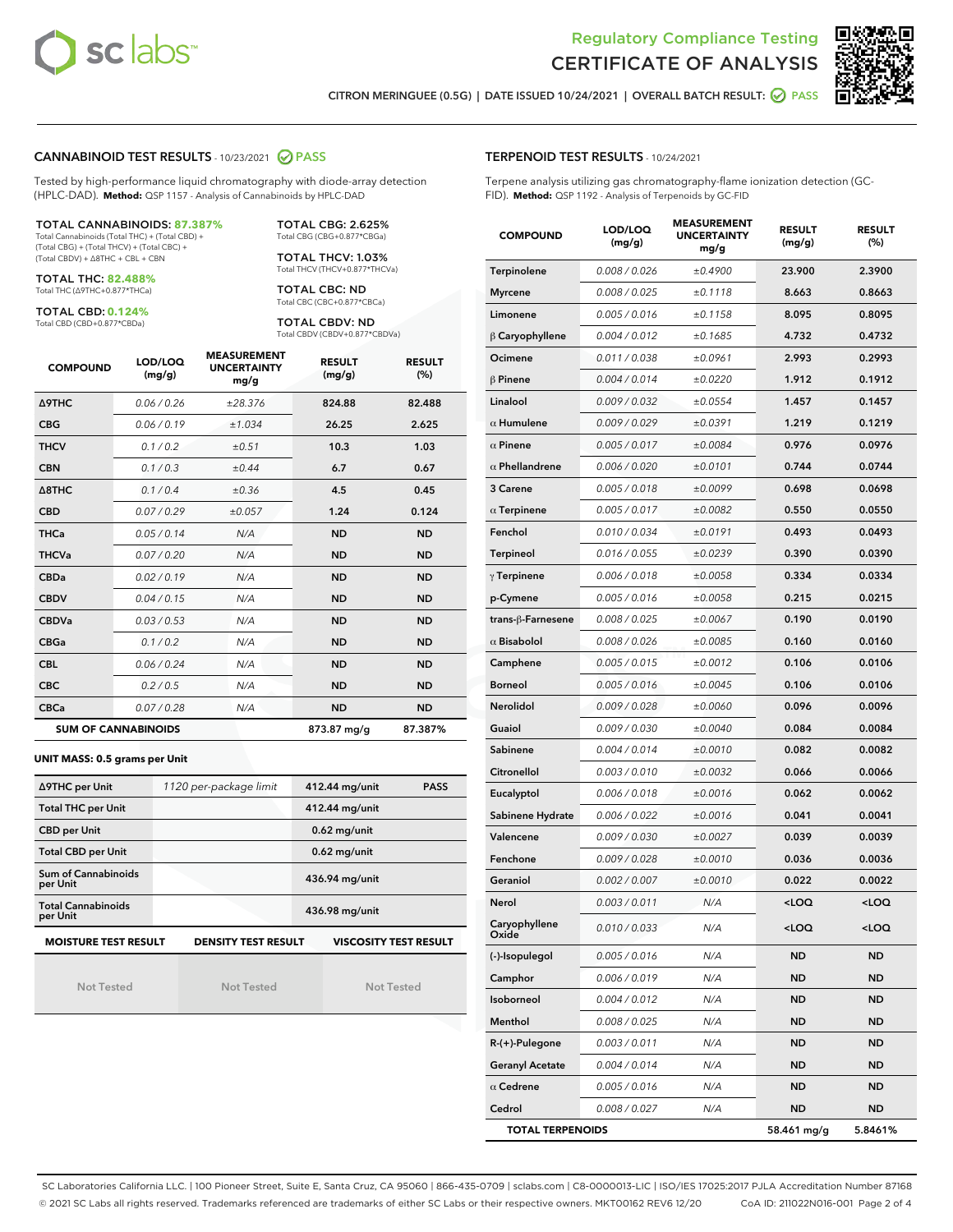



CITRON MERINGUEE (0.5G) | DATE ISSUED 10/24/2021 | OVERALL BATCH RESULT: @ PASS

#### CANNABINOID TEST RESULTS - 10/23/2021 2 PASS

Tested by high-performance liquid chromatography with diode-array detection (HPLC-DAD). **Method:** QSP 1157 - Analysis of Cannabinoids by HPLC-DAD

#### TOTAL CANNABINOIDS: **87.387%**

Total Cannabinoids (Total THC) + (Total CBD) + (Total CBG) + (Total THCV) + (Total CBC) + (Total CBDV) + ∆8THC + CBL + CBN

TOTAL THC: **82.488%** Total THC (∆9THC+0.877\*THCa)

TOTAL CBD: **0.124%**

Total CBD (CBD+0.877\*CBDa)

TOTAL CBG: 2.625% Total CBG (CBG+0.877\*CBGa)

TOTAL THCV: 1.03% Total THCV (THCV+0.877\*THCVa)

TOTAL CBC: ND Total CBC (CBC+0.877\*CBCa)

TOTAL CBDV: ND Total CBDV (CBDV+0.877\*CBDVa)

| <b>COMPOUND</b>  | LOD/LOQ<br>(mg/g)          | <b>MEASUREMENT</b><br><b>UNCERTAINTY</b><br>mg/g | <b>RESULT</b><br>(mg/g) | <b>RESULT</b><br>(%) |
|------------------|----------------------------|--------------------------------------------------|-------------------------|----------------------|
| <b>A9THC</b>     | 0.06/0.26                  | ±28.376                                          | 824.88                  | 82.488               |
| <b>CBG</b>       | 0.06/0.19                  | ±1.034                                           | 26.25                   | 2.625                |
| <b>THCV</b>      | 0.1 / 0.2                  | ±0.51                                            | 10.3                    | 1.03                 |
| <b>CBN</b>       | 0.1/0.3                    | ±0.44                                            | 6.7                     | 0.67                 |
| $\triangle$ 8THC | 0.1/0.4                    | ±0.36                                            | 4.5                     | 0.45                 |
| <b>CBD</b>       | 0.07/0.29                  | ±0.057                                           | 1.24                    | 0.124                |
| <b>THCa</b>      | 0.05/0.14                  | N/A                                              | <b>ND</b>               | <b>ND</b>            |
| <b>THCVa</b>     | 0.07 / 0.20                | N/A                                              | <b>ND</b>               | <b>ND</b>            |
| <b>CBDa</b>      | 0.02/0.19                  | N/A                                              | <b>ND</b>               | <b>ND</b>            |
| <b>CBDV</b>      | 0.04 / 0.15                | N/A                                              | <b>ND</b>               | <b>ND</b>            |
| <b>CBDVa</b>     | 0.03/0.53                  | N/A                                              | <b>ND</b>               | <b>ND</b>            |
| <b>CBGa</b>      | 0.1/0.2                    | N/A                                              | <b>ND</b>               | <b>ND</b>            |
| <b>CBL</b>       | 0.06 / 0.24                | N/A                                              | <b>ND</b>               | <b>ND</b>            |
| <b>CBC</b>       | 0.2 / 0.5                  | N/A                                              | <b>ND</b>               | <b>ND</b>            |
| <b>CBCa</b>      | 0.07 / 0.28                | N/A                                              | <b>ND</b>               | <b>ND</b>            |
|                  | <b>SUM OF CANNABINOIDS</b> |                                                  | 873.87 mg/g             | 87.387%              |

#### **UNIT MASS: 0.5 grams per Unit**

| ∆9THC per Unit                        | 1120 per-package limit     | 412.44 mg/unit<br><b>PASS</b> |
|---------------------------------------|----------------------------|-------------------------------|
| <b>Total THC per Unit</b>             |                            | 412.44 mg/unit                |
| <b>CBD per Unit</b>                   |                            | $0.62$ mg/unit                |
| <b>Total CBD per Unit</b>             |                            | $0.62$ mg/unit                |
| Sum of Cannabinoids<br>per Unit       |                            | 436.94 mg/unit                |
| <b>Total Cannabinoids</b><br>per Unit |                            | 436.98 mg/unit                |
| <b>MOISTURE TEST RESULT</b>           | <b>DENSITY TEST RESULT</b> | <b>VISCOSITY TEST RESULT</b>  |

Not Tested

Not Tested

Not Tested

TERPENOID TEST RESULTS - 10/24/2021

Terpene analysis utilizing gas chromatography-flame ionization detection (GC-FID). **Method:** QSP 1192 - Analysis of Terpenoids by GC-FID

| <b>COMPOUND</b>         | LOD/LOQ<br>(mg/g) | <b>MEASUREMENT</b><br><b>UNCERTAINTY</b><br>mg/g | <b>RESULT</b><br>(mg/g)                         | <b>RESULT</b><br>$(\%)$ |  |
|-------------------------|-------------------|--------------------------------------------------|-------------------------------------------------|-------------------------|--|
| Terpinolene             | 0.008 / 0.026     | ±0.4900                                          | 23.900                                          | 2.3900                  |  |
| <b>Myrcene</b>          | 0.008 / 0.025     | ±0.1118                                          | 8.663                                           | 0.8663                  |  |
| Limonene                | 0.005 / 0.016     | ±0.1158                                          | 8.095                                           | 0.8095                  |  |
| β Caryophyllene         | 0.004 / 0.012     | ±0.1685                                          | 4.732                                           | 0.4732                  |  |
| Ocimene                 | 0.011/0.038       | ±0.0961                                          | 2.993                                           | 0.2993                  |  |
| $\beta$ Pinene          | 0.004/0.014       | ±0.0220                                          | 1.912                                           | 0.1912                  |  |
| Linalool                | 0.009/0.032       | ±0.0554                                          | 1.457                                           | 0.1457                  |  |
| $\alpha$ Humulene       | 0.009 / 0.029     | ±0.0391                                          | 1.219                                           | 0.1219                  |  |
| $\alpha$ Pinene         | 0.005 / 0.017     | ±0.0084                                          | 0.976                                           | 0.0976                  |  |
| $\alpha$ Phellandrene   | 0.006 / 0.020     | ±0.0101                                          | 0.744                                           | 0.0744                  |  |
| 3 Carene                | 0.005 / 0.018     | ±0.0099                                          | 0.698                                           | 0.0698                  |  |
| $\alpha$ Terpinene      | 0.005 / 0.017     | ±0.0082                                          | 0.550                                           | 0.0550                  |  |
| Fenchol                 | 0.010 / 0.034     | ±0.0191                                          | 0.493                                           | 0.0493                  |  |
| Terpineol               | 0.016 / 0.055     | ±0.0239                                          | 0.390                                           | 0.0390                  |  |
| $\gamma$ Terpinene      | 0.006 / 0.018     | ±0.0058                                          | 0.334                                           | 0.0334                  |  |
| p-Cymene                | 0.005 / 0.016     | ±0.0058                                          | 0.215                                           | 0.0215                  |  |
| trans-β-Farnesene       | 0.008 / 0.025     | ±0.0067                                          | 0.190                                           | 0.0190                  |  |
| $\alpha$ Bisabolol      | 0.008 / 0.026     | ±0.0085                                          | 0.160                                           | 0.0160                  |  |
| Camphene                | 0.005 / 0.015     | ±0.0012                                          | 0.106                                           | 0.0106                  |  |
| <b>Borneol</b>          | 0.005 / 0.016     | ±0.0045                                          | 0.106                                           | 0.0106                  |  |
| <b>Nerolidol</b>        | 0.009 / 0.028     | ±0.0060                                          | 0.096                                           | 0.0096                  |  |
| Guaiol                  | 0.009 / 0.030     | ±0.0040                                          | 0.084                                           | 0.0084                  |  |
| Sabinene                | 0.004 / 0.014     | ±0.0010                                          | 0.082                                           | 0.0082                  |  |
| Citronellol             | 0.003 / 0.010     | ±0.0032                                          | 0.066                                           | 0.0066                  |  |
| Eucalyptol              | 0.006 / 0.018     | ±0.0016                                          | 0.062                                           | 0.0062                  |  |
| Sabinene Hydrate        | 0.006 / 0.022     | ±0.0016                                          | 0.041                                           | 0.0041                  |  |
| Valencene               | 0.009 / 0.030     | ±0.0027                                          | 0.039                                           | 0.0039                  |  |
| Fenchone                | 0.009 / 0.028     | ±0.0010                                          | 0.036                                           | 0.0036                  |  |
| Geraniol                | 0.002 / 0.007     | ±0.0010                                          | 0.022                                           | 0.0022                  |  |
| Nerol                   | 0.003 / 0.011     | N/A                                              | <loq< th=""><th><loq< th=""></loq<></th></loq<> | <loq< th=""></loq<>     |  |
| Caryophyllene<br>Oxide  | 0.010 / 0.033     | N/A                                              | <loq< th=""><th><loq< th=""></loq<></th></loq<> | <loq< th=""></loq<>     |  |
| (-)-Isopulegol          | 0.005 / 0.016     | N/A                                              | <b>ND</b>                                       | ND                      |  |
| Camphor                 | 0.006 / 0.019     | N/A                                              | ND                                              | ND                      |  |
| Isoborneol              | 0.004 / 0.012     | N/A                                              | ND                                              | ND                      |  |
| Menthol                 | 0.008 / 0.025     | N/A                                              | <b>ND</b>                                       | ND                      |  |
| R-(+)-Pulegone          | 0.003 / 0.011     | N/A                                              | ND                                              | ND                      |  |
| <b>Geranyl Acetate</b>  | 0.004 / 0.014     | N/A                                              | ND                                              | ND                      |  |
| $\alpha$ Cedrene        | 0.005 / 0.016     | N/A                                              | ND                                              | ND                      |  |
| Cedrol                  | 0.008 / 0.027     | N/A                                              | ND                                              | ND                      |  |
| <b>TOTAL TERPENOIDS</b> |                   |                                                  | 58.461 mg/g                                     | 5.8461%                 |  |

SC Laboratories California LLC. | 100 Pioneer Street, Suite E, Santa Cruz, CA 95060 | 866-435-0709 | sclabs.com | C8-0000013-LIC | ISO/IES 17025:2017 PJLA Accreditation Number 87168 © 2021 SC Labs all rights reserved. Trademarks referenced are trademarks of either SC Labs or their respective owners. MKT00162 REV6 12/20 CoA ID: 211022N016-001 Page 2 of 4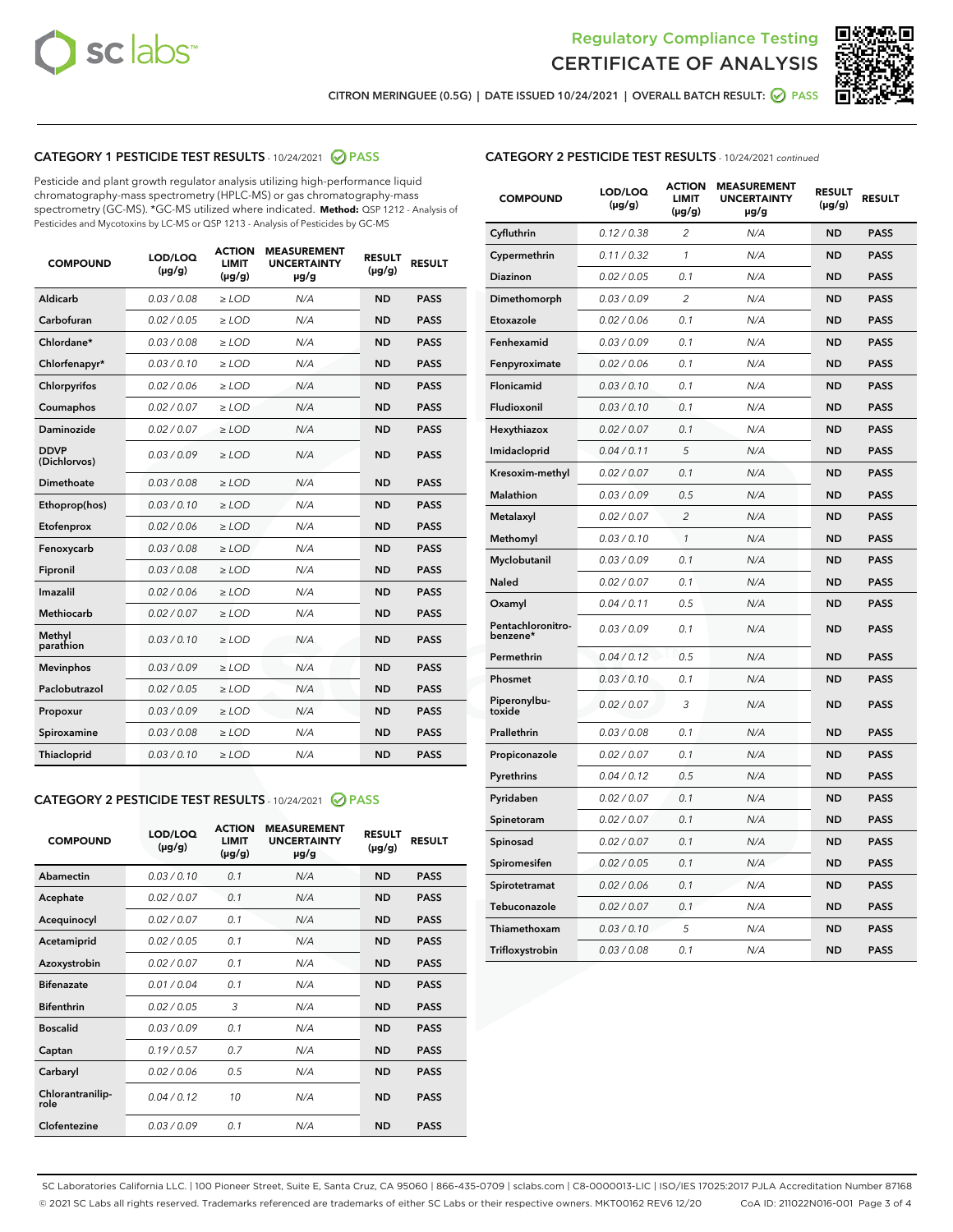



CITRON MERINGUEE (0.5G) | DATE ISSUED 10/24/2021 | OVERALL BATCH RESULT: ☑ PASS

# CATEGORY 1 PESTICIDE TEST RESULTS - 10/24/2021 2 PASS

Pesticide and plant growth regulator analysis utilizing high-performance liquid chromatography-mass spectrometry (HPLC-MS) or gas chromatography-mass spectrometry (GC-MS). \*GC-MS utilized where indicated. **Method:** QSP 1212 - Analysis of Pesticides and Mycotoxins by LC-MS or QSP 1213 - Analysis of Pesticides by GC-MS

| <b>COMPOUND</b>             | LOD/LOQ<br>$(\mu g/g)$ | <b>ACTION</b><br><b>LIMIT</b><br>$(\mu g/g)$ | <b>MEASUREMENT</b><br><b>UNCERTAINTY</b><br>µg/g | <b>RESULT</b><br>$(\mu g/g)$ | <b>RESULT</b> |
|-----------------------------|------------------------|----------------------------------------------|--------------------------------------------------|------------------------------|---------------|
| Aldicarb                    | 0.03 / 0.08            | $\geq$ LOD                                   | N/A                                              | <b>ND</b>                    | <b>PASS</b>   |
| Carbofuran                  | 0.02/0.05              | $\ge$ LOD                                    | N/A                                              | <b>ND</b>                    | <b>PASS</b>   |
| Chlordane*                  | 0.03 / 0.08            | $\ge$ LOD                                    | N/A                                              | <b>ND</b>                    | <b>PASS</b>   |
| Chlorfenapyr*               | 0.03/0.10              | $\ge$ LOD                                    | N/A                                              | <b>ND</b>                    | <b>PASS</b>   |
| Chlorpyrifos                | 0.02 / 0.06            | $\ge$ LOD                                    | N/A                                              | <b>ND</b>                    | <b>PASS</b>   |
| Coumaphos                   | 0.02 / 0.07            | $\ge$ LOD                                    | N/A                                              | <b>ND</b>                    | <b>PASS</b>   |
| Daminozide                  | 0.02 / 0.07            | $\ge$ LOD                                    | N/A                                              | <b>ND</b>                    | <b>PASS</b>   |
| <b>DDVP</b><br>(Dichlorvos) | 0.03/0.09              | $\ge$ LOD                                    | N/A                                              | <b>ND</b>                    | <b>PASS</b>   |
| Dimethoate                  | 0.03 / 0.08            | $\ge$ LOD                                    | N/A                                              | <b>ND</b>                    | <b>PASS</b>   |
| Ethoprop(hos)               | 0.03/0.10              | $\ge$ LOD                                    | N/A                                              | <b>ND</b>                    | <b>PASS</b>   |
| Etofenprox                  | 0.02 / 0.06            | $\ge$ LOD                                    | N/A                                              | <b>ND</b>                    | <b>PASS</b>   |
| Fenoxycarb                  | 0.03/0.08              | $\ge$ LOD                                    | N/A                                              | <b>ND</b>                    | <b>PASS</b>   |
| Fipronil                    | 0.03 / 0.08            | $\ge$ LOD                                    | N/A                                              | <b>ND</b>                    | <b>PASS</b>   |
| Imazalil                    | 0.02 / 0.06            | $\ge$ LOD                                    | N/A                                              | <b>ND</b>                    | <b>PASS</b>   |
| <b>Methiocarb</b>           | 0.02 / 0.07            | $\ge$ LOD                                    | N/A                                              | <b>ND</b>                    | <b>PASS</b>   |
| Methyl<br>parathion         | 0.03/0.10              | $\ge$ LOD                                    | N/A                                              | <b>ND</b>                    | <b>PASS</b>   |
| <b>Mevinphos</b>            | 0.03/0.09              | $\ge$ LOD                                    | N/A                                              | <b>ND</b>                    | <b>PASS</b>   |
| Paclobutrazol               | 0.02 / 0.05            | $\ge$ LOD                                    | N/A                                              | <b>ND</b>                    | <b>PASS</b>   |
| Propoxur                    | 0.03/0.09              | $\ge$ LOD                                    | N/A                                              | <b>ND</b>                    | <b>PASS</b>   |
| Spiroxamine                 | 0.03 / 0.08            | $\ge$ LOD                                    | N/A                                              | <b>ND</b>                    | <b>PASS</b>   |
| <b>Thiacloprid</b>          | 0.03/0.10              | $\ge$ LOD                                    | N/A                                              | <b>ND</b>                    | <b>PASS</b>   |
|                             |                        |                                              |                                                  |                              |               |

# CATEGORY 2 PESTICIDE TEST RESULTS - 10/24/2021 @ PASS

| <b>COMPOUND</b>          | LOD/LOO<br>$(\mu g/g)$ | <b>ACTION</b><br>LIMIT<br>$(\mu g/g)$ | <b>MEASUREMENT</b><br><b>UNCERTAINTY</b><br>$\mu$ g/g | <b>RESULT</b><br>$(\mu g/g)$ | <b>RESULT</b> |
|--------------------------|------------------------|---------------------------------------|-------------------------------------------------------|------------------------------|---------------|
| Abamectin                | 0.03/0.10              | 0.1                                   | N/A                                                   | <b>ND</b>                    | <b>PASS</b>   |
| Acephate                 | 0.02/0.07              | 0.1                                   | N/A                                                   | <b>ND</b>                    | <b>PASS</b>   |
| Acequinocyl              | 0.02/0.07              | 0.1                                   | N/A                                                   | <b>ND</b>                    | <b>PASS</b>   |
| Acetamiprid              | 0.02/0.05              | 0.1                                   | N/A                                                   | <b>ND</b>                    | <b>PASS</b>   |
| Azoxystrobin             | 0.02/0.07              | 0.1                                   | N/A                                                   | <b>ND</b>                    | <b>PASS</b>   |
| <b>Bifenazate</b>        | 0.01/0.04              | 0.1                                   | N/A                                                   | <b>ND</b>                    | <b>PASS</b>   |
| <b>Bifenthrin</b>        | 0.02 / 0.05            | 3                                     | N/A                                                   | <b>ND</b>                    | <b>PASS</b>   |
| <b>Boscalid</b>          | 0.03/0.09              | 0.1                                   | N/A                                                   | <b>ND</b>                    | <b>PASS</b>   |
| Captan                   | 0.19/0.57              | 0.7                                   | N/A                                                   | <b>ND</b>                    | <b>PASS</b>   |
| Carbaryl                 | 0.02/0.06              | 0.5                                   | N/A                                                   | <b>ND</b>                    | <b>PASS</b>   |
| Chlorantranilip-<br>role | 0.04/0.12              | 10                                    | N/A                                                   | <b>ND</b>                    | <b>PASS</b>   |
| Clofentezine             | 0.03/0.09              | 0.1                                   | N/A                                                   | <b>ND</b>                    | <b>PASS</b>   |

| <b>CATEGORY 2 PESTICIDE TEST RESULTS</b> - 10/24/2021 continued |
|-----------------------------------------------------------------|
|-----------------------------------------------------------------|

| <b>COMPOUND</b>               | LOD/LOQ<br>(µg/g) | <b>ACTION</b><br>LIMIT<br>$(\mu g/g)$ | <b>MEASUREMENT</b><br><b>UNCERTAINTY</b><br>µg/g | <b>RESULT</b><br>(µg/g) | <b>RESULT</b> |
|-------------------------------|-------------------|---------------------------------------|--------------------------------------------------|-------------------------|---------------|
| Cyfluthrin                    | 0.12 / 0.38       | 2                                     | N/A                                              | <b>ND</b>               | <b>PASS</b>   |
| Cypermethrin                  | 0.11 / 0.32       | $\mathcal{I}$                         | N/A                                              | <b>ND</b>               | <b>PASS</b>   |
| Diazinon                      | 0.02 / 0.05       | 0.1                                   | N/A                                              | <b>ND</b>               | <b>PASS</b>   |
| Dimethomorph                  | 0.03 / 0.09       | 2                                     | N/A                                              | <b>ND</b>               | <b>PASS</b>   |
| Etoxazole                     | 0.02 / 0.06       | 0.1                                   | N/A                                              | <b>ND</b>               | <b>PASS</b>   |
| Fenhexamid                    | 0.03 / 0.09       | 0.1                                   | N/A                                              | <b>ND</b>               | <b>PASS</b>   |
| Fenpyroximate                 | 0.02 / 0.06       | 0.1                                   | N/A                                              | <b>ND</b>               | <b>PASS</b>   |
| Flonicamid                    | 0.03 / 0.10       | 0.1                                   | N/A                                              | <b>ND</b>               | <b>PASS</b>   |
| Fludioxonil                   | 0.03 / 0.10       | 0.1                                   | N/A                                              | <b>ND</b>               | <b>PASS</b>   |
| Hexythiazox                   | 0.02 / 0.07       | 0.1                                   | N/A                                              | <b>ND</b>               | <b>PASS</b>   |
| Imidacloprid                  | 0.04 / 0.11       | 5                                     | N/A                                              | <b>ND</b>               | <b>PASS</b>   |
| Kresoxim-methyl               | 0.02 / 0.07       | 0.1                                   | N/A                                              | <b>ND</b>               | <b>PASS</b>   |
| Malathion                     | 0.03 / 0.09       | 0.5                                   | N/A                                              | <b>ND</b>               | <b>PASS</b>   |
| Metalaxyl                     | 0.02 / 0.07       | $\overline{c}$                        | N/A                                              | <b>ND</b>               | <b>PASS</b>   |
| Methomyl                      | 0.03 / 0.10       | $\mathcal{I}$                         | N/A                                              | <b>ND</b>               | <b>PASS</b>   |
| Myclobutanil                  | 0.03 / 0.09       | 0.1                                   | N/A                                              | <b>ND</b>               | <b>PASS</b>   |
| Naled                         | 0.02 / 0.07       | 0.1                                   | N/A                                              | <b>ND</b>               | <b>PASS</b>   |
| Oxamyl                        | 0.04 / 0.11       | 0.5                                   | N/A                                              | <b>ND</b>               | <b>PASS</b>   |
| Pentachloronitro-<br>benzene* | 0.03/0.09         | 0.1                                   | N/A                                              | <b>ND</b>               | <b>PASS</b>   |
| Permethrin                    | 0.04 / 0.12       | 0.5                                   | N/A                                              | <b>ND</b>               | <b>PASS</b>   |
| Phosmet                       | 0.03 / 0.10       | 0.1                                   | N/A                                              | <b>ND</b>               | <b>PASS</b>   |
| Piperonylbu-<br>toxide        | 0.02 / 0.07       | 3                                     | N/A                                              | <b>ND</b>               | <b>PASS</b>   |
| Prallethrin                   | 0.03 / 0.08       | 0.1                                   | N/A                                              | <b>ND</b>               | <b>PASS</b>   |
| Propiconazole                 | 0.02 / 0.07       | 0.1                                   | N/A                                              | <b>ND</b>               | <b>PASS</b>   |
| Pyrethrins                    | 0.04 / 0.12       | 0.5                                   | N/A                                              | <b>ND</b>               | <b>PASS</b>   |
| Pyridaben                     | 0.02 / 0.07       | 0.1                                   | N/A                                              | <b>ND</b>               | <b>PASS</b>   |
| Spinetoram                    | 0.02 / 0.07       | 0.1                                   | N/A                                              | <b>ND</b>               | <b>PASS</b>   |
| Spinosad                      | 0.02 / 0.07       | 0.1                                   | N/A                                              | <b>ND</b>               | <b>PASS</b>   |
| Spiromesifen                  | 0.02 / 0.05       | 0.1                                   | N/A                                              | <b>ND</b>               | <b>PASS</b>   |
| Spirotetramat                 | 0.02 / 0.06       | 0.1                                   | N/A                                              | <b>ND</b>               | <b>PASS</b>   |
| Tebuconazole                  | 0.02 / 0.07       | 0.1                                   | N/A                                              | <b>ND</b>               | <b>PASS</b>   |
| Thiamethoxam                  | 0.03 / 0.10       | 5                                     | N/A                                              | <b>ND</b>               | <b>PASS</b>   |
| Trifloxystrobin               | 0.03 / 0.08       | 0.1                                   | N/A                                              | <b>ND</b>               | <b>PASS</b>   |

SC Laboratories California LLC. | 100 Pioneer Street, Suite E, Santa Cruz, CA 95060 | 866-435-0709 | sclabs.com | C8-0000013-LIC | ISO/IES 17025:2017 PJLA Accreditation Number 87168 © 2021 SC Labs all rights reserved. Trademarks referenced are trademarks of either SC Labs or their respective owners. MKT00162 REV6 12/20 CoA ID: 211022N016-001 Page 3 of 4